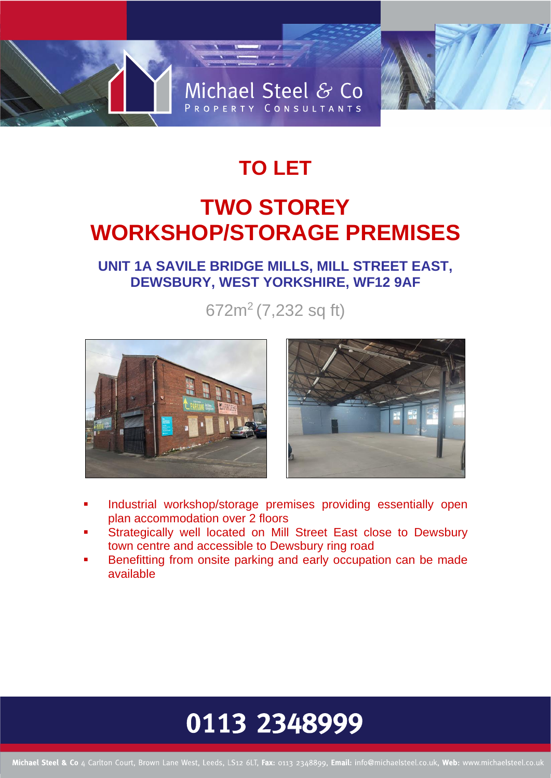

# **TO LET TWO STOREY WORKSHOP/STORAGE PREMISES**

# **UNIT 1A SAVILE BRIDGE MILLS, MILL STREET EAST, DEWSBURY, WEST YORKSHIRE, WF12 9AF**

672m<sup>2</sup> (7,232 sq ft)





- Industrial workshop/storage premises providing essentially open plan accommodation over 2 floors
- Strategically well located on Mill Street East close to Dewsbury town centre and accessible to Dewsbury ring road
- Benefitting from onsite parking and early occupation can be made available

# 0113 2348999

Michael Steel & Co 4 Carlton Court, Brown Lane West, Leeds, LS12 6LT, Fax: 0113 2348899, Email: info@michaelsteel.co.uk, Web: www.michaelsteel.co.uk